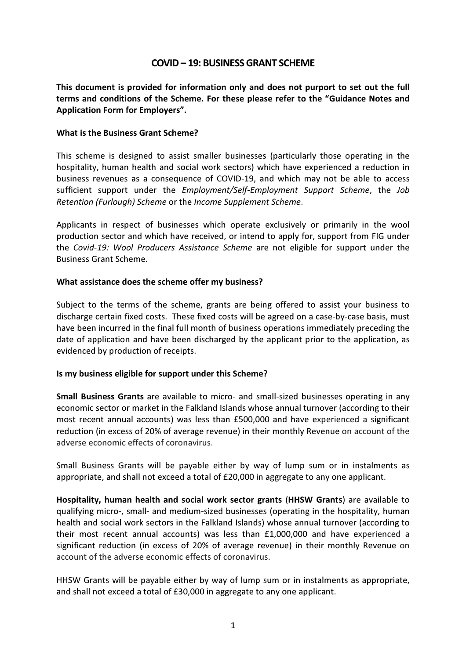# COVID – 19: BUSINESS GRANT SCHEME

This document is provided for information only and does not purport to set out the full terms and conditions of the Scheme. For these please refer to the "Guidance Notes and Application Form for Employers".

### What is the Business Grant Scheme?

This scheme is designed to assist smaller businesses (particularly those operating in the hospitality, human health and social work sectors) which have experienced a reduction in business revenues as a consequence of COVID-19, and which may not be able to access sufficient support under the Employment/Self-Employment Support Scheme, the Job Retention (Furlough) Scheme or the Income Supplement Scheme.

Applicants in respect of businesses which operate exclusively or primarily in the wool production sector and which have received, or intend to apply for, support from FIG under the Covid-19: Wool Producers Assistance Scheme are not eligible for support under the Business Grant Scheme.

### What assistance does the scheme offer my business?

Subject to the terms of the scheme, grants are being offered to assist your business to discharge certain fixed costs. These fixed costs will be agreed on a case-by-case basis, must have been incurred in the final full month of business operations immediately preceding the date of application and have been discharged by the applicant prior to the application, as evidenced by production of receipts.

### Is my business eligible for support under this Scheme?

Small Business Grants are available to micro- and small-sized businesses operating in any economic sector or market in the Falkland Islands whose annual turnover (according to their most recent annual accounts) was less than £500,000 and have experienced a significant reduction (in excess of 20% of average revenue) in their monthly Revenue on account of the adverse economic effects of coronavirus.

Small Business Grants will be payable either by way of lump sum or in instalments as appropriate, and shall not exceed a total of £20,000 in aggregate to any one applicant.

Hospitality, human health and social work sector grants (HHSW Grants) are available to qualifying micro-, small- and medium-sized businesses (operating in the hospitality, human health and social work sectors in the Falkland Islands) whose annual turnover (according to their most recent annual accounts) was less than £1,000,000 and have experienced a significant reduction (in excess of 20% of average revenue) in their monthly Revenue on account of the adverse economic effects of coronavirus.

HHSW Grants will be payable either by way of lump sum or in instalments as appropriate, and shall not exceed a total of £30,000 in aggregate to any one applicant.